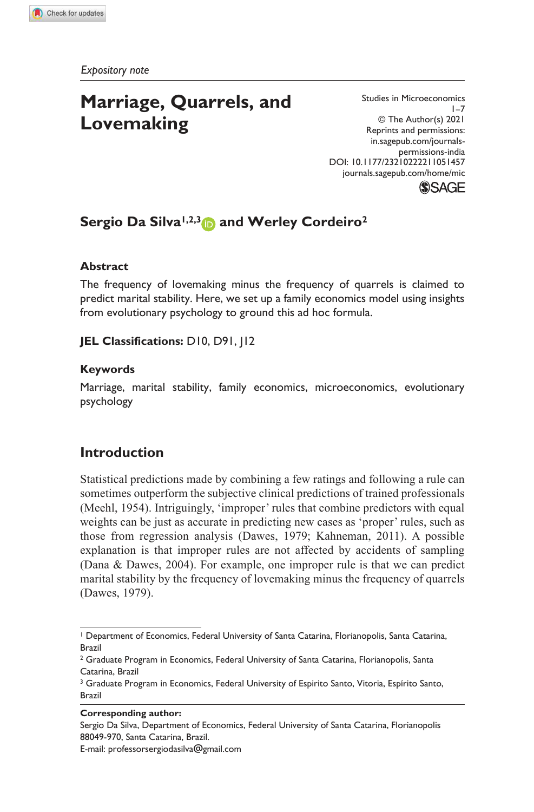*Expository note*

# **Marriage, Quarrels, and Lovemaking**

permissions-india Studies in Microeconomics  $1 - 7$ © The Author(s) 2021 Reprints and permissions: in.sagepub.com/journals-DOI: 10.1177/23210222211051457 journals.sagepub.com/home/mic



## **Sergio Da Silva1,2,3 and Werley Cordeiro<sup>2</sup>**

### **Abstract**

The frequency of lovemaking minus the frequency of quarrels is claimed to predict marital stability. Here, we set up a family economics model using insights from evolutionary psychology to ground this ad hoc formula.

#### **JEL Classifications:** D10, D91, J12

#### **Keywords**

Marriage, marital stability, family economics, microeconomics, evolutionary psychology

## **Introduction**

Statistical predictions made by combining a few ratings and following a rule can sometimes outperform the subjective clinical predictions of trained professionals (Meehl, 1954). Intriguingly, 'improper' rules that combine predictors with equal weights can be just as accurate in predicting new cases as 'proper' rules, such as those from regression analysis (Dawes, 1979; Kahneman, 2011). A possible explanation is that improper rules are not affected by accidents of sampling (Dana & Dawes, 2004). For example, one improper rule is that we can predict marital stability by the frequency of lovemaking minus the frequency of quarrels (Dawes, 1979).

#### **Corresponding author:**

E-mail: professorsergiodasilva@gmail.com

<sup>1</sup> Department of Economics, Federal University of Santa Catarina, Florianopolis, Santa Catarina, Brazil

 $^{\rm 2}$  Graduate Program in Economics, Federal University of Santa Catarina, Florianopolis, Santa  $\,$ Catarina, Brazil

<sup>&</sup>lt;sup>3</sup> Graduate Program in Economics, Federal University of Espirito Santo, Vitoria, Espírito Santo, Brazil

Sergio Da Silva, Department of Economics, Federal University of Santa Catarina, Florianopolis 88049-970, Santa Catarina, Brazil.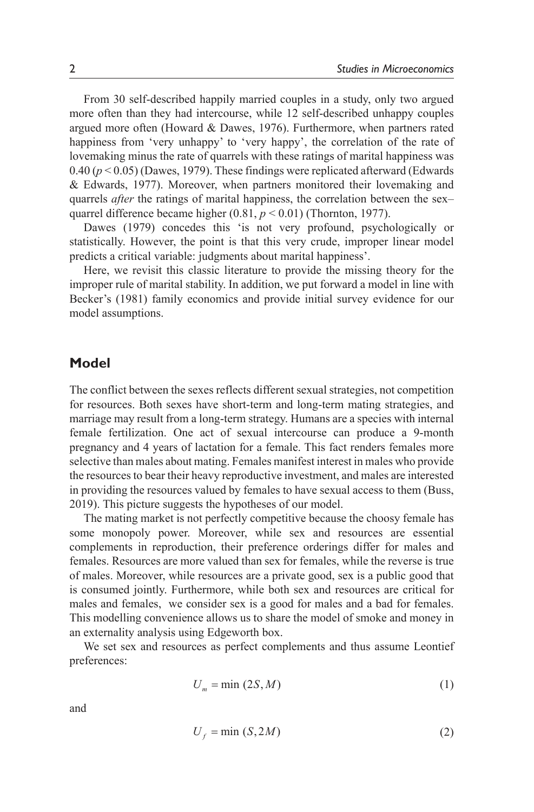From 30 self-described happily married couples in a study, only two argued more often than they had intercourse, while 12 self-described unhappy couples argued more often (Howard & Dawes, 1976). Furthermore, when partners rated happiness from 'very unhappy' to 'very happy', the correlation of the rate of lovemaking minus the rate of quarrels with these ratings of marital happiness was  $0.40 (p < 0.05)$  (Dawes, 1979). These findings were replicated afterward (Edwards & Edwards, 1977). Moreover, when partners monitored their lovemaking and quarrels *after* the ratings of marital happiness, the correlation between the sex– quarrel difference became higher (0.81,  $p < 0.01$ ) (Thornton, 1977).

Dawes (1979) concedes this 'is not very profound, psychologically or statistically. However, the point is that this very crude, improper linear model predicts a critical variable: judgments about marital happiness'.

Here, we revisit this classic literature to provide the missing theory for the improper rule of marital stability. In addition, we put forward a model in line with Becker's (1981) family economics and provide initial survey evidence for our model assumptions.

#### **Model**

The conflict between the sexes reflects different sexual strategies, not competition for resources. Both sexes have short-term and long-term mating strategies, and marriage may result from a long-term strategy. Humans are a species with internal female fertilization. One act of sexual intercourse can produce a 9-month pregnancy and 4 years of lactation for a female. This fact renders females more selective than males about mating. Females manifest interest in males who provide the resources to bear their heavy reproductive investment, and males are interested in providing the resources valued by females to have sexual access to them (Buss, 2019). This picture suggests the hypotheses of our model.

The mating market is not perfectly competitive because the choosy female has some monopoly power. Moreover, while sex and resources are essential complements in reproduction, their preference orderings differ for males and females. Resources are more valued than sex for females, while the reverse is true of males. Moreover, while resources are a private good, sex is a public good that is consumed jointly. Furthermore, while both sex and resources are critical for males and females, we consider sex is a good for males and a bad for females. This modelling convenience allows us to share the model of smoke and money in an externality analysis using Edgeworth box.

We set sex and resources as perfect complements and thus assume Leontief preferences:

$$
U_m = \min(2S, M) \tag{1}
$$

and

$$
U_f = \min(S, 2M) \tag{2}
$$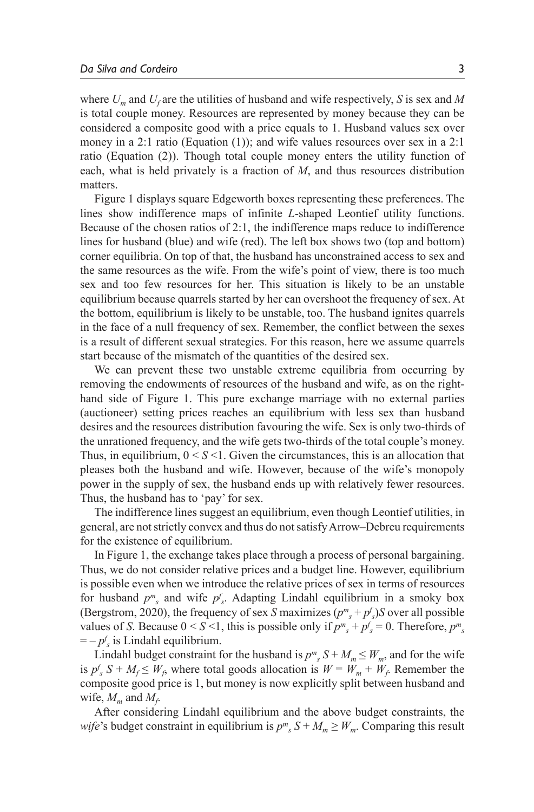where *Um* and *U<sup>f</sup>* are the utilities of husband and wife respectively, *S* is sex and *M* is total couple money. Resources are represented by money because they can be considered a composite good with a price equals to 1. Husband values sex over money in a 2:1 ratio (Equation (1)); and wife values resources over sex in a 2:1 ratio (Equation (2)). Though total couple money enters the utility function of each, what is held privately is a fraction of *M*, and thus resources distribution matters.

Figure 1 displays square Edgeworth boxes representing these preferences. The lines show indifference maps of infinite *L*-shaped Leontief utility functions. Because of the chosen ratios of 2:1, the indifference maps reduce to indifference lines for husband (blue) and wife (red). The left box shows two (top and bottom) corner equilibria. On top of that, the husband has unconstrained access to sex and the same resources as the wife. From the wife's point of view, there is too much sex and too few resources for her. This situation is likely to be an unstable equilibrium because quarrels started by her can overshoot the frequency of sex. At the bottom, equilibrium is likely to be unstable, too. The husband ignites quarrels in the face of a null frequency of sex. Remember, the conflict between the sexes is a result of different sexual strategies. For this reason, here we assume quarrels start because of the mismatch of the quantities of the desired sex.

We can prevent these two unstable extreme equilibria from occurring by removing the endowments of resources of the husband and wife, as on the righthand side of Figure 1. This pure exchange marriage with no external parties (auctioneer) setting prices reaches an equilibrium with less sex than husband desires and the resources distribution favouring the wife. Sex is only two-thirds of the unrationed frequency, and the wife gets two-thirds of the total couple's money. Thus, in equilibrium,  $0 \le S \le 1$ . Given the circumstances, this is an allocation that pleases both the husband and wife. However, because of the wife's monopoly power in the supply of sex, the husband ends up with relatively fewer resources. Thus, the husband has to 'pay' for sex.

The indifference lines suggest an equilibrium, even though Leontief utilities, in general, are not strictly convex and thus do not satisfy Arrow–Debreu requirements for the existence of equilibrium.

In Figure 1, the exchange takes place through a process of personal bargaining. Thus, we do not consider relative prices and a budget line. However, equilibrium is possible even when we introduce the relative prices of sex in terms of resources for husband  $p^m$ <sub>s</sub> and wife  $p^f$ <sub>s</sub>. Adapting Lindahl equilibrium in a smoky box (Bergstrom, 2020), the frequency of sex *S* maximizes  $(p^m{}_s + p^f{}_s)$ *S* over all possible values of *S*. Because  $0 \le S \le 1$ , this is possible only if  $p^m s + p^f s = 0$ . Therefore,  $p^m s$  $=-p f_s$  is Lindahl equilibrium.

Lindahl budget constraint for the husband is  $p^m_s S + M_m \leq W_m$ , and for the wife is  $p^f$ <sub>s</sub> S +  $M$ <sup>*f*</sup> $\leq$  *W*<sub>*f*</sub>, where total goods allocation is  $W = W_m + W_f$ . Remember the composite good price is 1, but money is now explicitly split between husband and wife,  $M_m$  and  $M_f$ .

After considering Lindahl equilibrium and the above budget constraints, the *wife*'s budget constraint in equilibrium is  $p^m$ <sub>*s*</sub>  $S + M_m \geq W_m$ . Comparing this result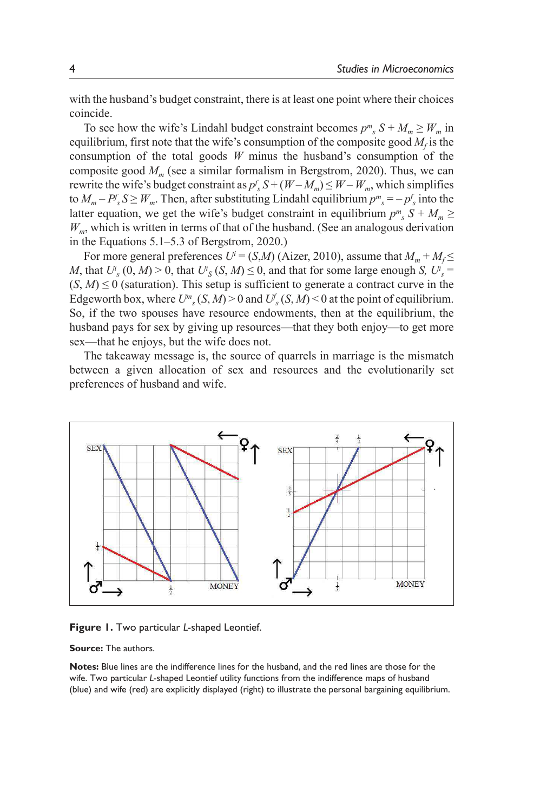with the husband's budget constraint, there is at least one point where their choices coincide.

To see how the wife's Lindahl budget constraint becomes  $p^m{}_s S + M_m \ge W_m$  in equilibrium, first note that the wife's consumption of the composite good  $M_f$  is the consumption of the total goods *W* minus the husband's consumption of the composite good  $M<sub>m</sub>$  (see a similar formalism in Bergstrom, 2020). Thus, we can rewrite the wife's budget constraint as  $p_s^f S + (W - M_m) \leq W - W_m$ , which simplifies to  $M_m - P_s^f S \ge W_m$ . Then, after substituting Lindahl equilibrium  $p^m{}_s = -p_s^f$  into the latter equation, we get the wife's budget constraint in equilibrium  $p^m$ <sub>s</sub>  $S + M_m \ge$  $W<sub>m</sub>$ , which is written in terms of that of the husband. (See an analogous derivation in the Equations 5.1–5.3 of Bergstrom, 2020.)

For more general preferences  $U^i = (S,M)$  (Aizer, 2010), assume that  $M_m + M_f \leq$ *M*, that  $U^i$ <sub>s</sub> (0, *M*) > 0, that  $U^i$ <sub>*S*</sub> (*S*, *M*)  $\leq$  0, and that for some large enough *S*,  $U^i$ <sub>*s*</sub> =  $(S, M) \leq 0$  (saturation). This setup is sufficient to generate a contract curve in the Edgeworth box, where  $U^m$ <sub>s</sub> (*S*, *M*) > 0 and  $U^f$ <sub>s</sub> (*S*, *M*) < 0 at the point of equilibrium. So, if the two spouses have resource endowments, then at the equilibrium, the husband pays for sex by giving up resources—that they both enjoy—to get more sex—that he enjoys, but the wife does not.

 The takeaway message is, the source of quarrels in marriage is the mismatch between a given allocation of sex and resources and the evolutionarily set preferences of husband and wife.



**Figure 1.** Two particular *L*-shaped Leontief.

**Source:** The authors.

 **Notes:** Blue lines are the indifference lines for the husband, and the red lines are those for the wife. Two particular *L*-shaped Leontief utility functions from the indifference maps of husband (blue) and wife (red) are explicitly displayed (right) to illustrate the personal bargaining equilibrium.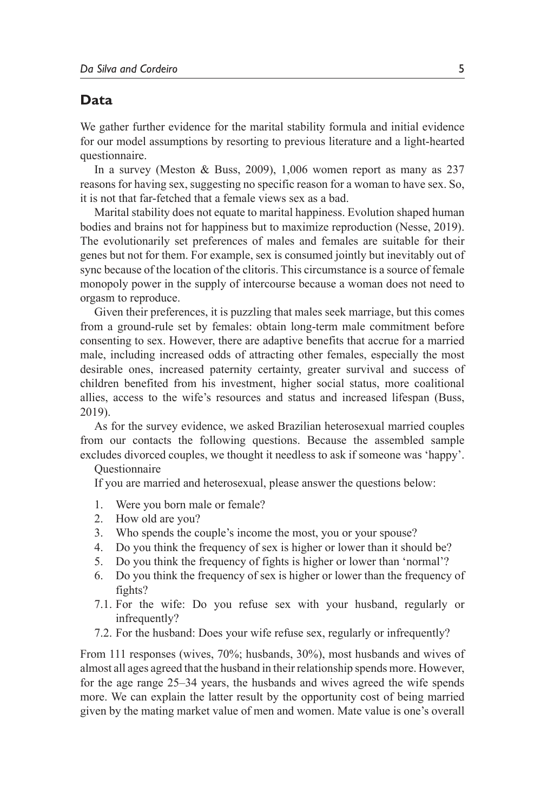## **Data**

We gather further evidence for the marital stability formula and initial evidence for our model assumptions by resorting to previous literature and a light-hearted questionnaire.

In a survey (Meston & Buss, 2009), 1,006 women report as many as 237 reasons for having sex, suggesting no specific reason for a woman to have sex. So, it is not that far-fetched that a female views sex as a bad.

Marital stability does not equate to marital happiness. Evolution shaped human bodies and brains not for happiness but to maximize reproduction (Nesse, 2019). The evolutionarily set preferences of males and females are suitable for their genes but not for them. For example, sex is consumed jointly but inevitably out of sync because of the location of the clitoris. This circumstance is a source of female monopoly power in the supply of intercourse because a woman does not need to orgasm to reproduce.

Given their preferences, it is puzzling that males seek marriage, but this comes from a ground-rule set by females: obtain long-term male commitment before consenting to sex. However, there are adaptive benefits that accrue for a married male, including increased odds of attracting other females, especially the most desirable ones, increased paternity certainty, greater survival and success of children benefited from his investment, higher social status, more coalitional allies, access to the wife's resources and status and increased lifespan (Buss, 2019).

As for the survey evidence, we asked Brazilian heterosexual married couples from our contacts the following questions. Because the assembled sample excludes divorced couples, we thought it needless to ask if someone was 'happy'.

#### **Ouestionnaire**

If you are married and heterosexual, please answer the questions below:

- 1. Were you born male or female?
- 2. How old are you?
- 3. Who spends the couple's income the most, you or your spouse?
- 4. Do you think the frequency of sex is higher or lower than it should be?
- 5. Do you think the frequency of fights is higher or lower than 'normal'?
- 6. Do you think the frequency of sex is higher or lower than the frequency of fights?
- 7.1. For the wife: Do you refuse sex with your husband, regularly or infrequently?
- 7.2. For the husband: Does your wife refuse sex, regularly or infrequently?

From 111 responses (wives, 70%; husbands, 30%), most husbands and wives of almost all ages agreed that the husband in their relationship spends more. However, for the age range 25–34 years, the husbands and wives agreed the wife spends more. We can explain the latter result by the opportunity cost of being married given by the mating market value of men and women. Mate value is one's overall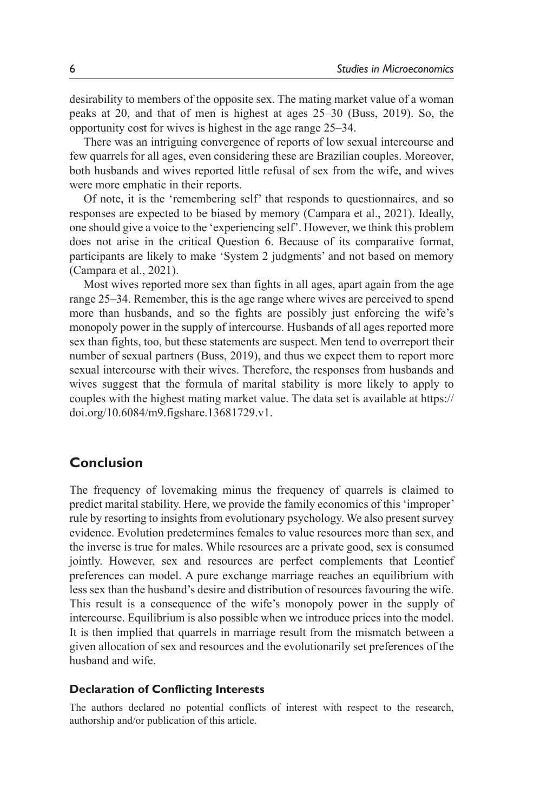desirability to members of the opposite sex. The mating market value of a woman peaks at 20, and that of men is highest at ages 25–30 (Buss, 2019). So, the opportunity cost for wives is highest in the age range 25–34.

There was an intriguing convergence of reports of low sexual intercourse and few quarrels for all ages, even considering these are Brazilian couples. Moreover, both husbands and wives reported little refusal of sex from the wife, and wives were more emphatic in their reports.

Of note, it is the 'remembering self' that responds to questionnaires, and so responses are expected to be biased by memory (Campara et al., 2021). Ideally, one should give a voice to the 'experiencing self'. However, we think this problem does not arise in the critical Question 6. Because of its comparative format, participants are likely to make 'System 2 judgments' and not based on memory (Campara et al., 2021).

Most wives reported more sex than fights in all ages, apart again from the age range 25–34. Remember, this is the age range where wives are perceived to spend more than husbands, and so the fights are possibly just enforcing the wife's monopoly power in the supply of intercourse. Husbands of all ages reported more sex than fights, too, but these statements are suspect. Men tend to overreport their number of sexual partners (Buss, 2019), and thus we expect them to report more sexual intercourse with their wives. Therefore, the responses from husbands and wives suggest that the formula of marital stability is more likely to apply to couples with the highest mating market value. The data set is available at https:// doi.org/10.6084/m9.figshare.13681729.v1.

## **Conclusion**

The frequency of lovemaking minus the frequency of quarrels is claimed to predict marital stability. Here, we provide the family economics of this 'improper' rule by resorting to insights from evolutionary psychology. We also present survey evidence. Evolution predetermines females to value resources more than sex, and the inverse is true for males. While resources are a private good, sex is consumed jointly. However, sex and resources are perfect complements that Leontief preferences can model. A pure exchange marriage reaches an equilibrium with less sex than the husband's desire and distribution of resources favouring the wife. This result is a consequence of the wife's monopoly power in the supply of intercourse. Equilibrium is also possible when we introduce prices into the model. It is then implied that quarrels in marriage result from the mismatch between a given allocation of sex and resources and the evolutionarily set preferences of the husband and wife.

#### **Declaration of Conflicting Interests**

The authors declared no potential conflicts of interest with respect to the research, authorship and/or publication of this article.